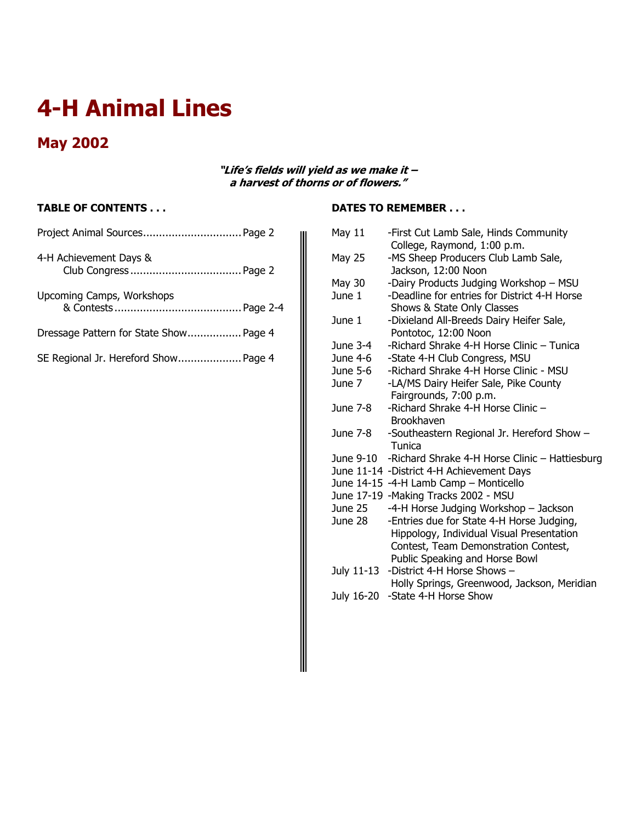# **4-H Animal Lines**

# **May 2002**

#### **"Life's fields will yield as we make it – a harvest of thorns or of flowers."**

### **TABLE OF CONTENTS . . .**

| Project Animal Sources Page 2          |  |
|----------------------------------------|--|
| 4-H Achievement Days &                 |  |
| Upcoming Camps, Workshops              |  |
| Dressage Pattern for State Show Page 4 |  |
| SE Regional Jr. Hereford Show Page 4   |  |

## **DATES TO REMEMBER . . .**

| May 11     | -First Cut Lamb Sale, Hinds Community          |
|------------|------------------------------------------------|
|            | College, Raymond, 1:00 p.m.                    |
| May 25     | -MS Sheep Producers Club Lamb Sale,            |
|            | Jackson, 12:00 Noon                            |
| May 30     | -Dairy Products Judging Workshop - MSU         |
| June 1     | -Deadline for entries for District 4-H Horse   |
|            | Shows & State Only Classes                     |
| June 1     | -Dixieland All-Breeds Dairy Heifer Sale,       |
|            | Pontotoc, 12:00 Noon                           |
| June 3-4   | -Richard Shrake 4-H Horse Clinic - Tunica      |
| June 4-6   | -State 4-H Club Congress, MSU                  |
| June 5-6   | -Richard Shrake 4-H Horse Clinic - MSU         |
| June 7     | -LA/MS Dairy Heifer Sale, Pike County          |
|            | Fairgrounds, 7:00 p.m.                         |
| June 7-8   | -Richard Shrake 4-H Horse Clinic -             |
|            | <b>Brookhaven</b>                              |
| June 7-8   | -Southeastern Regional Jr. Hereford Show -     |
|            | Tunica                                         |
| June 9-10  | -Richard Shrake 4-H Horse Clinic - Hattiesburg |
|            | June 11-14 -District 4-H Achievement Days      |
|            | June 14-15 -4-H Lamb Camp - Monticello         |
|            | June 17-19 -Making Tracks 2002 - MSU           |
| June 25    | -4-H Horse Judging Workshop - Jackson          |
| June 28    | -Entries due for State 4-H Horse Judging,      |
|            | Hippology, Individual Visual Presentation      |
|            | Contest, Team Demonstration Contest,           |
|            | Public Speaking and Horse Bowl                 |
| July 11-13 | -District 4-H Horse Shows -                    |
|            | Holly Springs, Greenwood, Jackson, Meridian    |
| July 16-20 | -State 4-H Horse Show                          |
|            |                                                |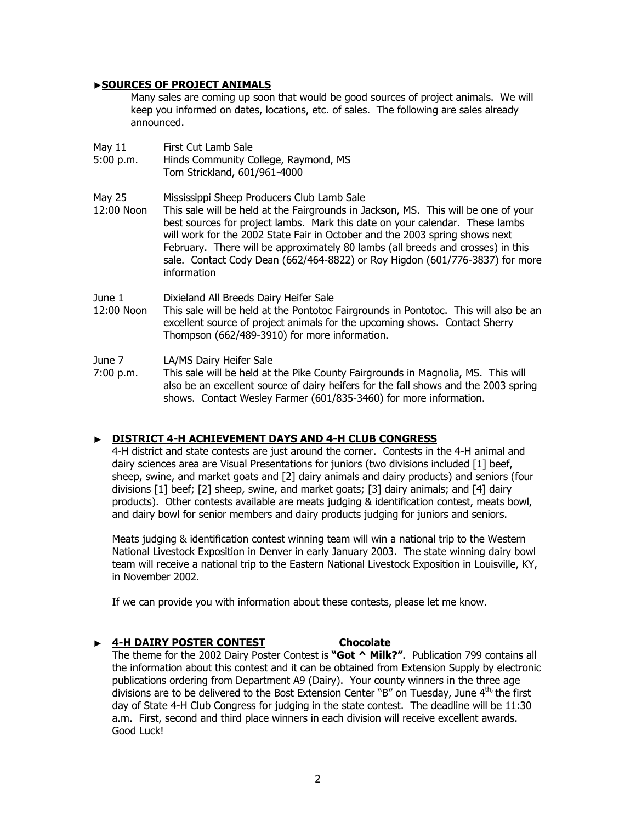#### ▶**SOURCES OF PROJECT ANIMALS**

Many sales are coming up soon that would be good sources of project animals. We will keep you informed on dates, locations, etc. of sales. The following are sales already announced.

| May 11<br>5:00 p.m.  | First Cut Lamb Sale<br>Hinds Community College, Raymond, MS<br>Tom Strickland, 601/961-4000                                                                                                                                                                                                                                                                                                                                                                                       |
|----------------------|-----------------------------------------------------------------------------------------------------------------------------------------------------------------------------------------------------------------------------------------------------------------------------------------------------------------------------------------------------------------------------------------------------------------------------------------------------------------------------------|
| May 25<br>12:00 Noon | Mississippi Sheep Producers Club Lamb Sale<br>This sale will be held at the Fairgrounds in Jackson, MS. This will be one of your<br>best sources for project lambs. Mark this date on your calendar. These lambs<br>will work for the 2002 State Fair in October and the 2003 spring shows next<br>February. There will be approximately 80 lambs (all breeds and crosses) in this<br>sale. Contact Cody Dean (662/464-8822) or Roy Higdon (601/776-3837) for more<br>information |
| June 1<br>12:00 Noon | Dixieland All Breeds Dairy Heifer Sale<br>This sale will be held at the Pontotoc Fairgrounds in Pontotoc. This will also be an<br>excellent source of project animals for the upcoming shows. Contact Sherry<br>Thompson (662/489-3910) for more information.                                                                                                                                                                                                                     |
| June 7<br>7:00 p.m.  | LA/MS Dairy Heifer Sale<br>This sale will be held at the Pike County Fairgrounds in Magnolia, MS. This will<br>also be an excellent source of dairy heifers for the fall shows and the 2003 spring<br>shows. Contact Wesley Farmer (601/835-3460) for more information.                                                                                                                                                                                                           |

#### ▶ **DISTRICT 4-H ACHIEVEMENT DAYS AND 4-H CLUB CONGRESS**

4-H district and state contests are just around the corner. Contests in the 4-H animal and dairy sciences area are Visual Presentations for juniors (two divisions included [1] beef, sheep, swine, and market goats and [2] dairy animals and dairy products) and seniors (four divisions [1] beef; [2] sheep, swine, and market goats; [3] dairy animals; and [4] dairy products). Other contests available are meats judging & identification contest, meats bowl, and dairy bowl for senior members and dairy products judging for juniors and seniors.

Meats judging & identification contest winning team will win a national trip to the Western National Livestock Exposition in Denver in early January 2003. The state winning dairy bowl team will receive a national trip to the Eastern National Livestock Exposition in Louisville, KY, in November 2002.

If we can provide you with information about these contests, please let me know.

#### ▶ **4-H DAIRY POSTER CONTEST Chocolate**

The theme for the 2002 Dairy Poster Contest is **"Got ^ Milk?"**. Publication 799 contains all the information about this contest and it can be obtained from Extension Supply by electronic publications ordering from Department A9 (Dairy). Your county winners in the three age divisions are to be delivered to the Bost Extension Center "B" on Tuesday, June  $4<sup>th</sup>$ , the first day of State 4-H Club Congress for judging in the state contest. The deadline will be 11:30 a.m. First, second and third place winners in each division will receive excellent awards. Good Luck!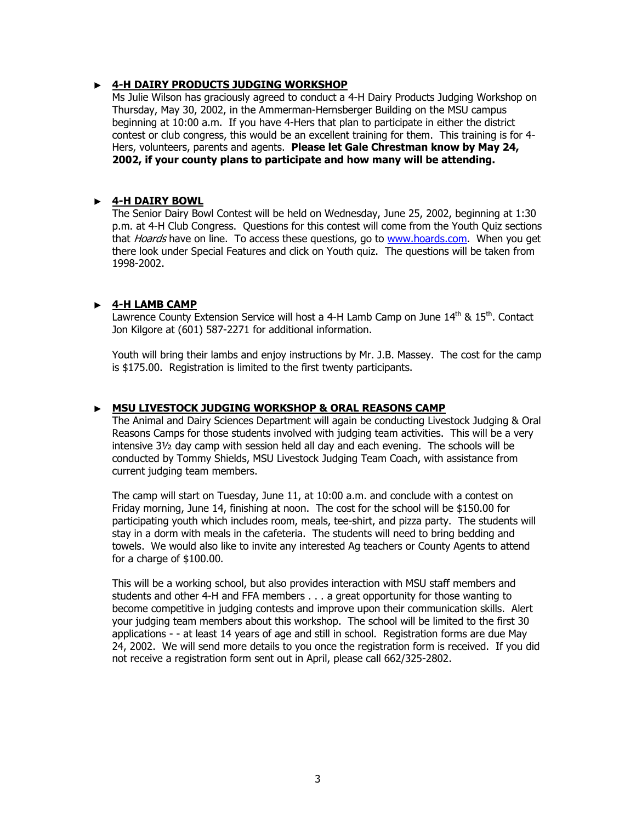#### ▶ **4-H DAIRY PRODUCTS JUDGING WORKSHOP**

Ms Julie Wilson has graciously agreed to conduct a 4-H Dairy Products Judging Workshop on Thursday, May 30, 2002, in the Ammerman-Hernsberger Building on the MSU campus beginning at 10:00 a.m. If you have 4-Hers that plan to participate in either the district contest or club congress, this would be an excellent training for them. This training is for 4- Hers, volunteers, parents and agents. **Please let Gale Chrestman know by May 24, 2002, if your county plans to participate and how many will be attending.** 

#### ▶ **4-H DAIRY BOWL**

The Senior Dairy Bowl Contest will be held on Wednesday, June 25, 2002, beginning at 1:30 p.m. at 4-H Club Congress. Questions for this contest will come from the Youth Quiz sections that *Hoards* have on line. To access these questions, go to www.hoards.com. When you get there look under Special Features and click on Youth quiz. The questions will be taken from 1998-2002.

#### ▶ **4-H LAMB CAMP**

Lawrence County Extension Service will host a 4-H Lamb Camp on June 14<sup>th</sup> & 15<sup>th</sup>. Contact Jon Kilgore at (601) 587-2271 for additional information.

Youth will bring their lambs and enjoy instructions by Mr. J.B. Massey. The cost for the camp is \$175.00. Registration is limited to the first twenty participants.

#### ▶ **MSU LIVESTOCK JUDGING WORKSHOP & ORAL REASONS CAMP**

The Animal and Dairy Sciences Department will again be conducting Livestock Judging & Oral Reasons Camps for those students involved with judging team activities. This will be a very intensive 3½ day camp with session held all day and each evening. The schools will be conducted by Tommy Shields, MSU Livestock Judging Team Coach, with assistance from current judging team members.

The camp will start on Tuesday, June 11, at 10:00 a.m. and conclude with a contest on Friday morning, June 14, finishing at noon. The cost for the school will be \$150.00 for participating youth which includes room, meals, tee-shirt, and pizza party. The students will stay in a dorm with meals in the cafeteria. The students will need to bring bedding and towels. We would also like to invite any interested Ag teachers or County Agents to attend for a charge of \$100.00.

This will be a working school, but also provides interaction with MSU staff members and students and other 4-H and FFA members . . . a great opportunity for those wanting to become competitive in judging contests and improve upon their communication skills. Alert your judging team members about this workshop. The school will be limited to the first 30 applications - - at least 14 years of age and still in school. Registration forms are due May 24, 2002. We will send more details to you once the registration form is received. If you did not receive a registration form sent out in April, please call 662/325-2802.